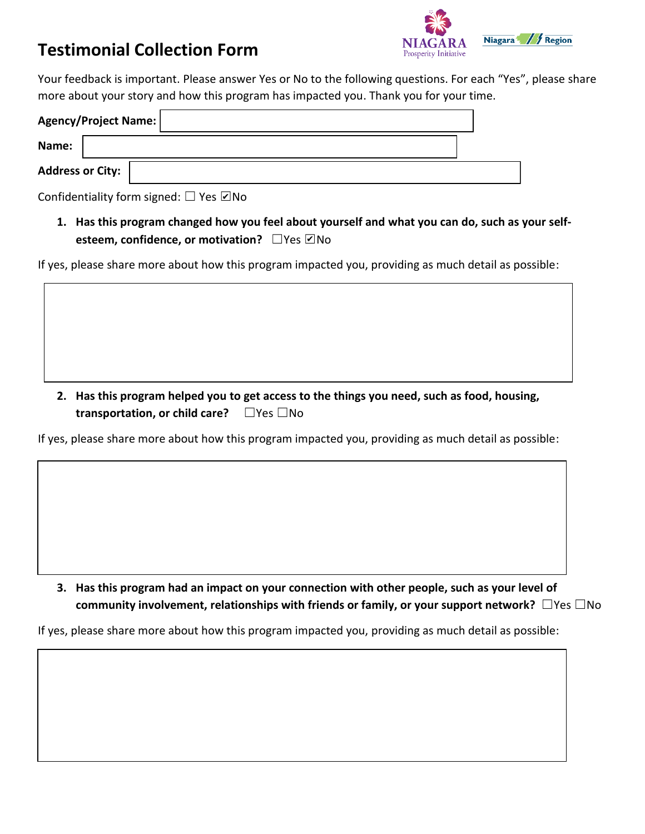## **Testimonial Collection Form**



Your feedback is important. Please answer Yes or No to the following questions. For each "Yes", please share more about your story and how this program has impacted you. Thank you for your time.

| Agency/Project Name:    |  |  |  |  |
|-------------------------|--|--|--|--|
| Name:                   |  |  |  |  |
| <b>Address or City:</b> |  |  |  |  |

Confidentiality form signed:  $\Box$  Yes  $\Box$  No

**1. Has this program changed how you feel about yourself and what you can do, such as your selfesteem, confidence, or motivation?** □Yes ☑No

If yes, please share more about how this program impacted you, providing as much detail as possible:

**2. Has this program helped you to get access to the things you need, such as food, housing, transportation, or child care?** ☐Yes ☐No

If yes, please share more about how this program impacted you, providing as much detail as possible:

**3. Has this program had an impact on your connection with other people, such as your level of community involvement, relationships with friends or family, or your support network?** ☐Yes ☐No

If yes, please share more about how this program impacted you, providing as much detail as possible: